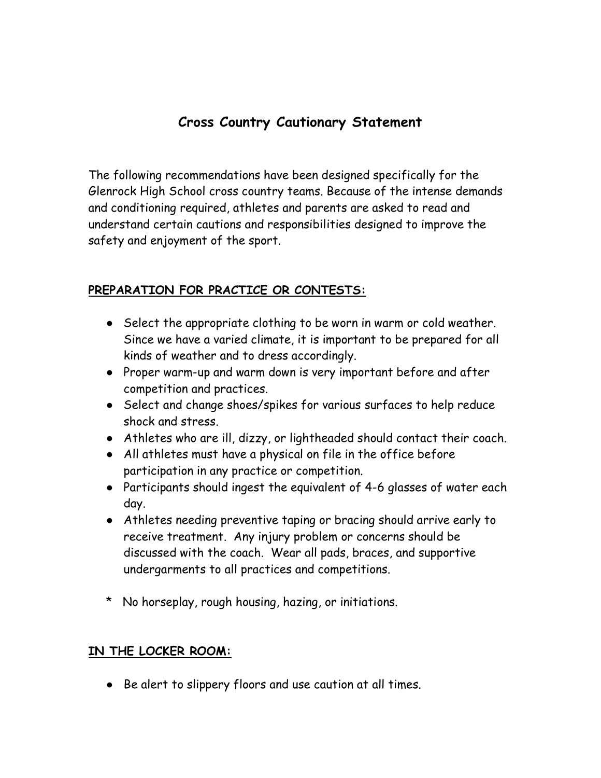## **Cross Country Cautionary Statement**

The following recommendations have been designed specifically for the Glenrock High School cross country teams. Because of the intense demands and conditioning required, athletes and parents are asked to read and understand certain cautions and responsibilities designed to improve the safety and enjoyment of the sport.

#### **PREPARATION FOR PRACTICE OR CONTESTS:**

- Select the appropriate clothing to be worn in warm or cold weather. Since we have a varied climate, it is important to be prepared for all kinds of weather and to dress accordingly.
- Proper warm-up and warm down is very important before and after competition and practices.
- Select and change shoes/spikes for various surfaces to help reduce shock and stress.
- Athletes who are ill, dizzy, or lightheaded should contact their coach.
- All athletes must have a physical on file in the office before participation in any practice or competition.
- Participants should ingest the equivalent of 4-6 glasses of water each day.
- Athletes needing preventive taping or bracing should arrive early to receive treatment. Any injury problem or concerns should be discussed with the coach. Wear all pads, braces, and supportive undergarments to all practices and competitions.
- \* No horseplay, rough housing, hazing, or initiations.

#### **IN THE LOCKER ROOM:**

● Be alert to slippery floors and use caution at all times.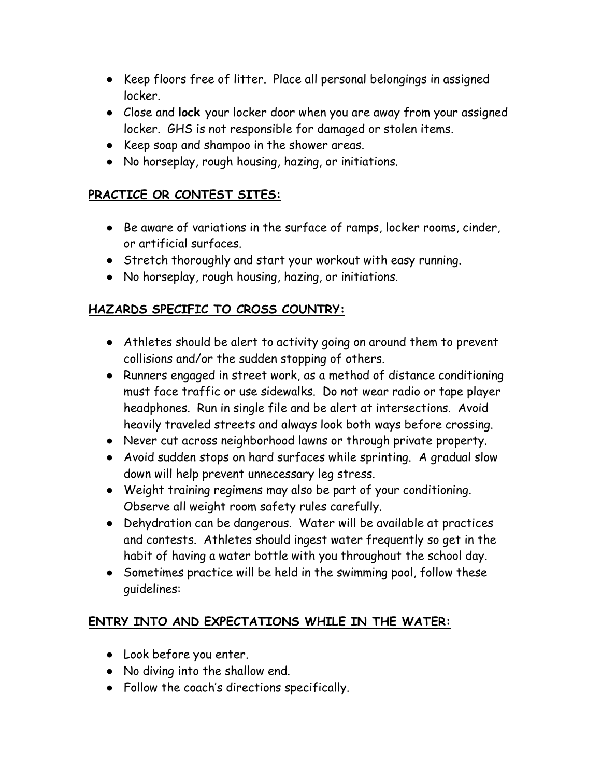- Keep floors free of litter. Place all personal belongings in assigned locker.
- Close and **lock** your locker door when you are away from your assigned locker. GHS is not responsible for damaged or stolen items.
- Keep soap and shampoo in the shower areas.
- No horseplay, rough housing, hazing, or initiations.

#### **PRACTICE OR CONTEST SITES:**

- Be aware of variations in the surface of ramps, locker rooms, cinder, or artificial surfaces.
- Stretch thoroughly and start your workout with easy running.
- No horseplay, rough housing, hazing, or initiations.

## **HAZARDS SPECIFIC TO CROSS COUNTRY:**

- Athletes should be alert to activity going on around them to prevent collisions and/or the sudden stopping of others.
- Runners engaged in street work, as a method of distance conditioning must face traffic or use sidewalks. Do not wear radio or tape player headphones. Run in single file and be alert at intersections. Avoid heavily traveled streets and always look both ways before crossing.
- Never cut across neighborhood lawns or through private property.
- Avoid sudden stops on hard surfaces while sprinting. A gradual slow down will help prevent unnecessary leg stress.
- Weight training regimens may also be part of your conditioning. Observe all weight room safety rules carefully.
- Dehydration can be dangerous. Water will be available at practices and contests. Athletes should ingest water frequently so get in the habit of having a water bottle with you throughout the school day.
- Sometimes practice will be held in the swimming pool, follow these guidelines:

## **ENTRY INTO AND EXPECTATIONS WHILE IN THE WATER:**

- Look before you enter.
- No diving into the shallow end.
- Follow the coach's directions specifically.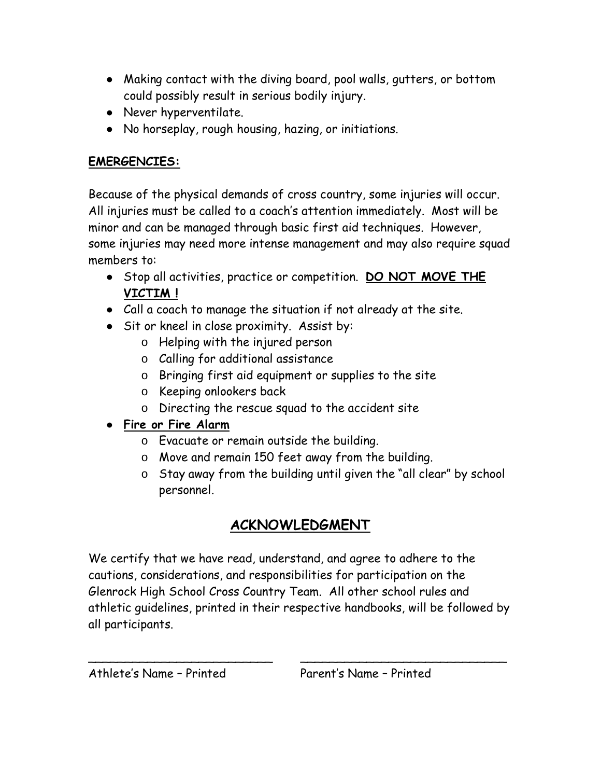- Making contact with the diving board, pool walls, gutters, or bottom could possibly result in serious bodily injury.
- Never hyperventilate.
- No horseplay, rough housing, hazing, or initiations.

## **EMERGENCIES:**

Because of the physical demands of cross country, some injuries will occur. All injuries must be called to a coach's attention immediately. Most will be minor and can be managed through basic first aid techniques. However, some injuries may need more intense management and may also require squad members to:

- Stop all activities, practice or competition. **DO NOT MOVE THE VICTIM !**
- Call a coach to manage the situation if not already at the site.
- Sit or kneel in close proximity. Assist by:
	- o Helping with the injured person
	- o Calling for additional assistance
	- o Bringing first aid equipment or supplies to the site
	- o Keeping onlookers back
	- o Directing the rescue squad to the accident site

# ● **Fire or Fire Alarm**

- o Evacuate or remain outside the building.
- o Move and remain 150 feet away from the building.
- o Stay away from the building until given the "all clear" by school personnel.

# **ACKNOWLEDGMENT**

We certify that we have read, understand, and agree to adhere to the cautions, considerations, and responsibilities for participation on the Glenrock High School Cross Country Team. All other school rules and athletic guidelines, printed in their respective handbooks, will be followed by all participants.

\_\_\_\_\_\_\_\_\_\_\_\_\_\_\_\_\_\_\_\_\_\_\_\_\_ \_\_\_\_\_\_\_\_\_\_\_\_\_\_\_\_\_\_\_\_\_\_\_\_\_\_\_\_